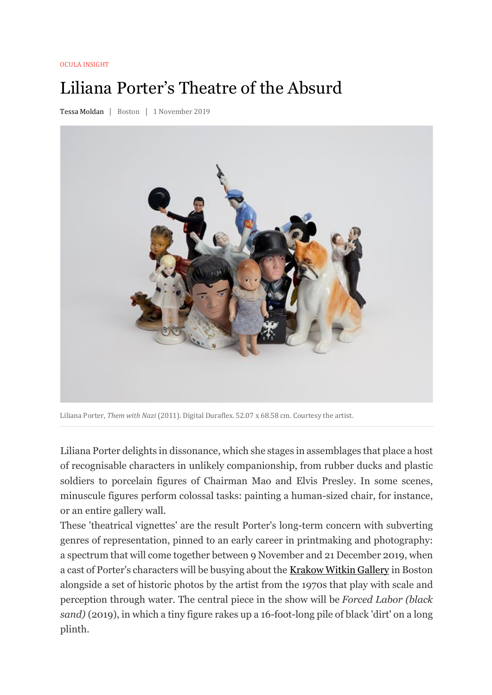## **OCULA INSIGHT**

## Liliana Porter's Theatre of the Absurd

Tessa Moldan | Boston | 1 November 2019



Liliana Porter, *Them with Nazi* (2011). Digital Duraflex. 52.07 x 68.58 cm. Courtesy the artist.

Liliana Porter delights in dissonance, which she stages in assemblages that place a host of recognisable characters in unlikely companionship, from rubber ducks and plastic soldiers to porcelain figures of Chairman Mao and Elvis Presley. In some scenes, minuscule figures perform colossal tasks: painting a human-sized chair, for instance, or an entire gallery wall.

These 'theatrical vignettes' are the result Porter's long-term concern with subverting genres of representation, pinned to an early career in printmaking and photography: a spectrum that will come together between 9 November and 21 December 2019, when a cast of Porter's characters will be busying about the Krakow Witkin Gallery in Boston alongside a set of historic photos by the artist from the 1970s that play with scale and perception through water. The central piece in the show will be *Forced Labor (black sand)* (2019), in which a tiny figure rakes up a 16-foot-long pile of black 'dirt' on a long plinth.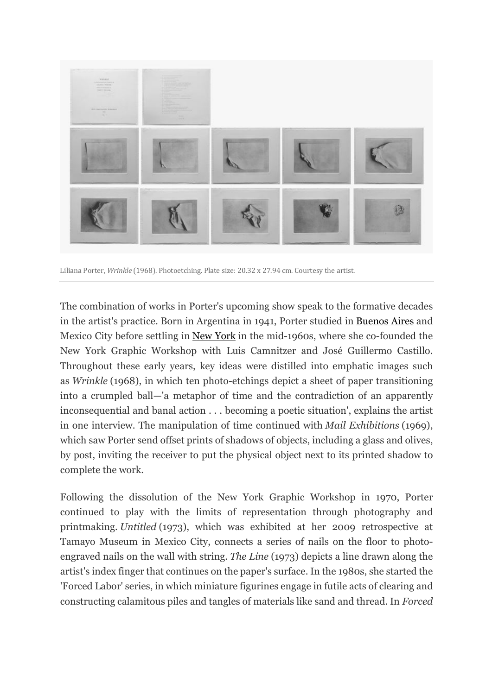

Liliana Porter, *Wrinkle* (1968). Photoetching. Plate size: 20.32 x 27.94 cm. Courtesy the artist.

The combination of works in Porter's upcoming show speak to the formative decades in the artist's practice. Born in Argentina in 1941, Porter studied in Buenos Aires and Mexico City before settling in New York in the mid-1960s, where she co-founded the New York Graphic Workshop with Luis Camnitzer and José Guillermo Castillo. Throughout these early years, key ideas were distilled into emphatic images such as *Wrinkle* (1968), in which ten photo-etchings depict a sheet of paper transitioning into a crumpled ball—'a metaphor of time and the contradiction of an apparently inconsequential and banal action . . . becoming a poetic situation', explains the artist in one interview. The manipulation of time continued with *Mail Exhibitions* (1969), which saw Porter send offset prints of shadows of objects, including a glass and olives, by post, inviting the receiver to put the physical object next to its printed shadow to complete the work.

Following the dissolution of the New York Graphic Workshop in 1970, Porter continued to play with the limits of representation through photography and printmaking. *Untitled* (1973), which was exhibited at her 2009 retrospective at Tamayo Museum in Mexico City, connects a series of nails on the floor to photoengraved nails on the wall with string. *The Line* (1973) depicts a line drawn along the artist's index finger that continues on the paper's surface. In the 1980s, she started the 'Forced Labor' series, in which miniature figurines engage in futile acts of clearing and constructing calamitous piles and tangles of materials like sand and thread. In *Forced*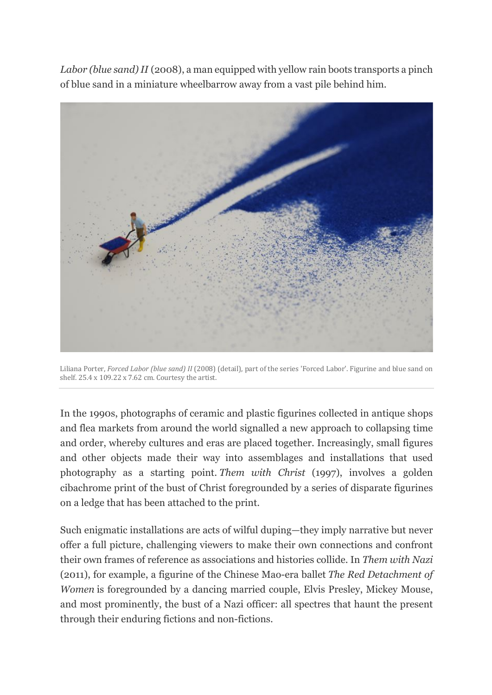*Labor (blue sand) II* (2008), a man equipped with yellow rain boots transports a pinch of blue sand in a miniature wheelbarrow away from a vast pile behind him.



Liliana Porter, *Forced Labor (blue sand)* II (2008) (detail), part of the series 'Forced Labor'. Figurine and blue sand on shelf.  $25.4 \times 109.22 \times 7.62$  cm. Courtesy the artist.

In the 1990s, photographs of ceramic and plastic figurines collected in antique shops and flea markets from around the world signalled a new approach to collapsing time and order, whereby cultures and eras are placed together. Increasingly, small figures and other objects made their way into assemblages and installations that used photography as a starting point. *Them with Christ* (1997), involves a golden cibachrome print of the bust of Christ foregrounded by a series of disparate figurines on a ledge that has been attached to the print.

Such enigmatic installations are acts of wilful duping—they imply narrative but never offer a full picture, challenging viewers to make their own connections and confront their own frames of reference as associations and histories collide. In *Them with Nazi* (2011), for example, a figurine of the Chinese Mao-era ballet *The Red Detachment of Women* is foregrounded by a dancing married couple, Elvis Presley, Mickey Mouse, and most prominently, the bust of a Nazi officer: all spectres that haunt the present through their enduring fictions and non-fictions.